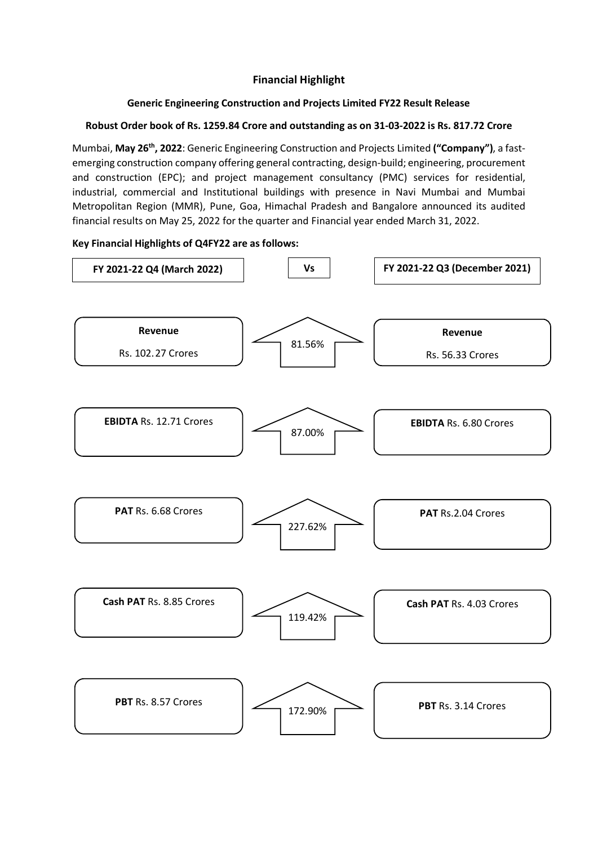# **Financial Highlight**

### **Generic Engineering Construction and Projects Limited FY22 Result Release**

### **Robust Order book of Rs. 1259.84 Crore and outstanding as on 31-03-2022 is Rs. 817.72 Crore**

Mumbai, **May 26th, 2022**: Generic Engineering Construction and Projects Limited **("Company")**, a fastemerging construction company offering general contracting, design-build; engineering, procurement and construction (EPC); and project management consultancy (PMC) services for residential, industrial, commercial and Institutional buildings with presence in Navi Mumbai and Mumbai Metropolitan Region (MMR), Pune, Goa, Himachal Pradesh and Bangalore announced its audited financial results on May 25, 2022 for the quarter and Financial year ended March 31, 2022.

### **Key Financial Highlights of Q4FY22 are as follows:**

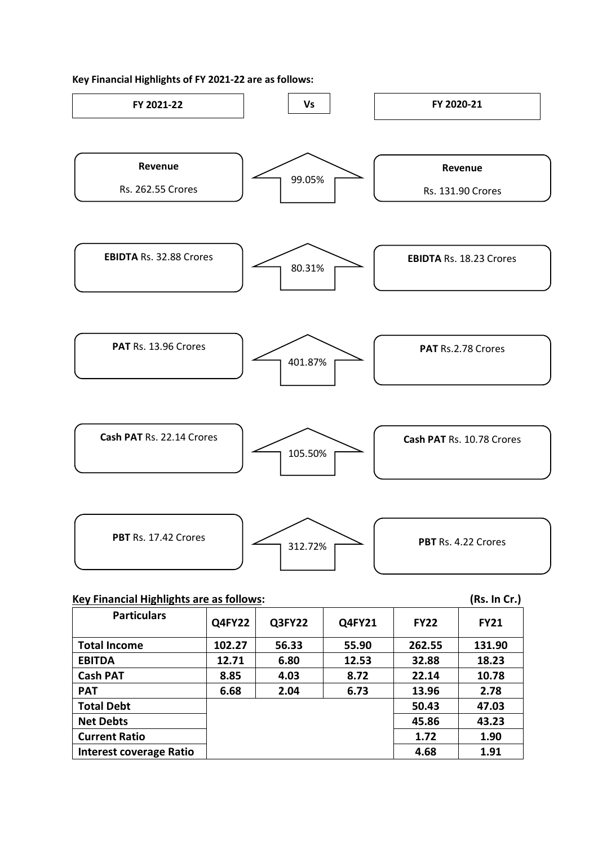#### **Key Financial Highlights of FY 2021-22 are as follows:**



| <b>Particulars</b>             | <b>Q4FY22</b> | Q3FY22 | Q4FY21 | <b>FY22</b> | <b>FY21</b> |
|--------------------------------|---------------|--------|--------|-------------|-------------|
| <b>Total Income</b>            | 102.27        | 56.33  | 55.90  | 262.55      | 131.90      |
| <b>EBITDA</b>                  | 12.71         | 6.80   | 12.53  | 32.88       | 18.23       |
| <b>Cash PAT</b>                | 8.85          | 4.03   | 8.72   | 22.14       | 10.78       |
| <b>PAT</b>                     | 6.68          | 2.04   | 6.73   | 13.96       | 2.78        |
| <b>Total Debt</b>              |               |        |        | 50.43       | 47.03       |
| <b>Net Debts</b>               |               |        |        | 45.86       | 43.23       |
| <b>Current Ratio</b>           |               |        |        | 1.72        | 1.90        |
| <b>Interest coverage Ratio</b> |               |        |        | 4.68        | 1.91        |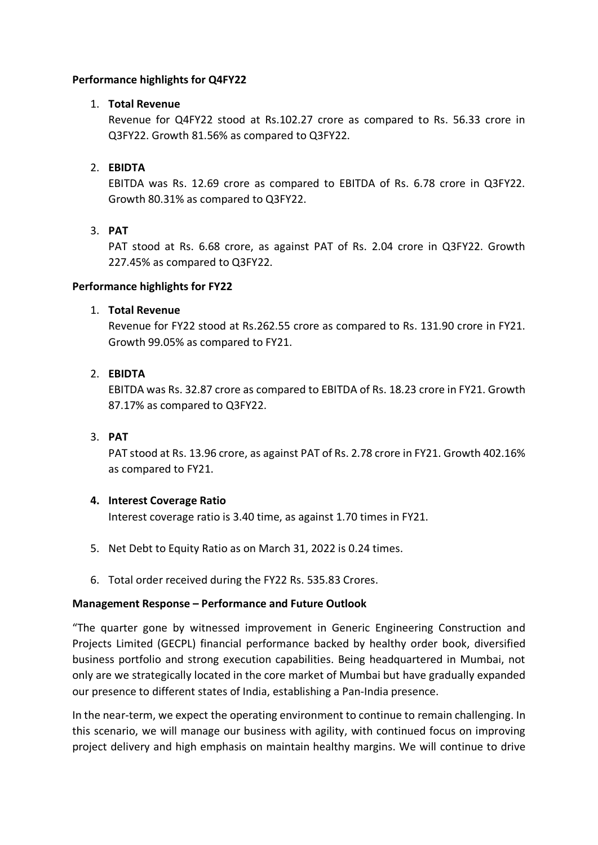### **Performance highlights for Q4FY22**

### 1. **Total Revenue**

Revenue for Q4FY22 stood at Rs.102.27 crore as compared to Rs. 56.33 crore in Q3FY22. Growth 81.56% as compared to Q3FY22.

### 2. **EBIDTA**

EBITDA was Rs. 12.69 crore as compared to EBITDA of Rs. 6.78 crore in Q3FY22. Growth 80.31% as compared to Q3FY22.

### 3. **PAT**

PAT stood at Rs. 6.68 crore, as against PAT of Rs. 2.04 crore in Q3FY22. Growth 227.45% as compared to Q3FY22.

### **Performance highlights for FY22**

### 1. **Total Revenue**

Revenue for FY22 stood at Rs.262.55 crore as compared to Rs. 131.90 crore in FY21. Growth 99.05% as compared to FY21.

### 2. **EBIDTA**

EBITDA was Rs. 32.87 crore as compared to EBITDA of Rs. 18.23 crore in FY21. Growth 87.17% as compared to Q3FY22.

### 3. **PAT**

PAT stood at Rs. 13.96 crore, as against PAT of Rs. 2.78 crore in FY21. Growth 402.16% as compared to FY21.

### **4. Interest Coverage Ratio**

Interest coverage ratio is 3.40 time, as against 1.70 times in FY21.

- 5. Net Debt to Equity Ratio as on March 31, 2022 is 0.24 times.
- 6. Total order received during the FY22 Rs. 535.83 Crores.

### **Management Response – Performance and Future Outlook**

"The quarter gone by witnessed improvement in Generic Engineering Construction and Projects Limited (GECPL) financial performance backed by healthy order book, diversified business portfolio and strong execution capabilities. Being headquartered in Mumbai, not only are we strategically located in the core market of Mumbai but have gradually expanded our presence to different states of India, establishing a Pan-India presence.

In the near-term, we expect the operating environment to continue to remain challenging. In this scenario, we will manage our business with agility, with continued focus on improving project delivery and high emphasis on maintain healthy margins. We will continue to drive